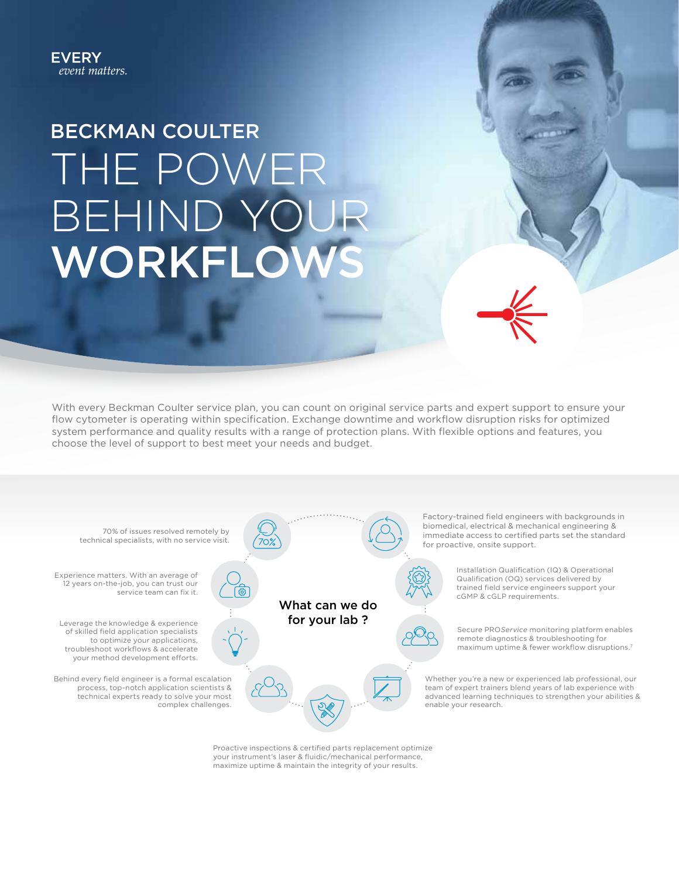## BECKMAN COULTER THE POWER BEHIND YOU WORKFLO

With every Beckman Coulter service plan, you can count on original service parts and expert support to ensure your flow cytometer is operating within specification. Exchange downtime and workflow disruption risks for optimized system performance and quality results with a range of protection plans. With flexible options and features, you choose the level of support to best meet your needs and budget.



Proactive inspections & certified parts replacement optimize your instrument's laser & fluidic/mechanical performance, maximize uptime & maintain the integrity of your results.